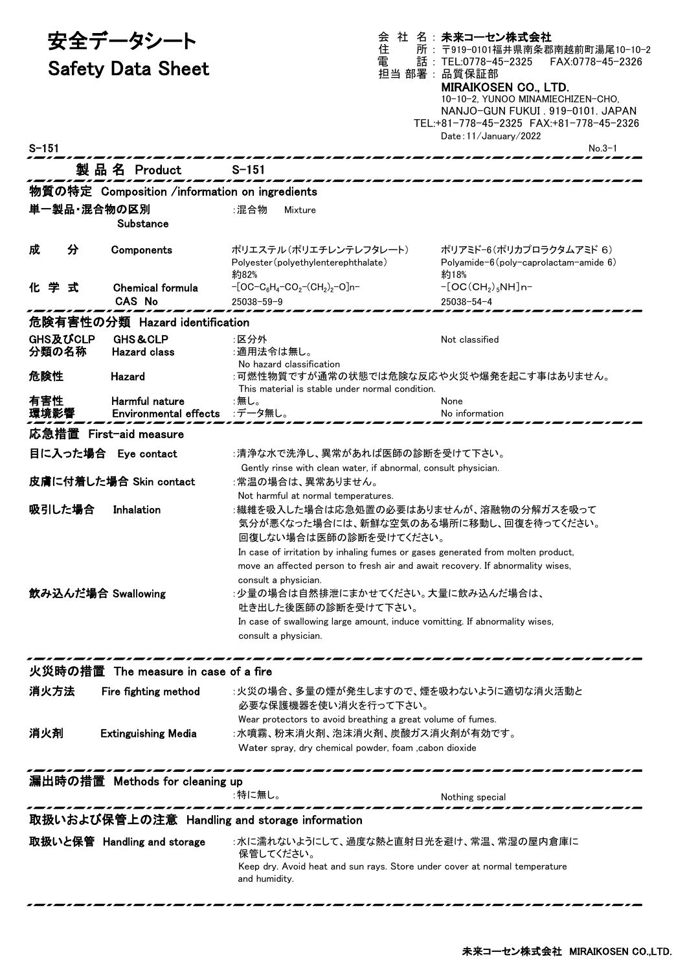| 安全データシート           |                                                | 会<br>住                                                                                                                                                                                                                                                                                                                                                       | 社 名:未来コーセン株式会社<br>所: 〒919-0101福井県南条郡南越前町湯尾10-10-2                                                                                                                                                                                   |  |
|--------------------|------------------------------------------------|--------------------------------------------------------------------------------------------------------------------------------------------------------------------------------------------------------------------------------------------------------------------------------------------------------------------------------------------------------------|-------------------------------------------------------------------------------------------------------------------------------------------------------------------------------------------------------------------------------------|--|
|                    | <b>Safety Data Sheet</b>                       | 電                                                                                                                                                                                                                                                                                                                                                            | 話: TEL:0778-45-2325<br>FAX:0778-45-2326<br>担当 部署:品質保証部<br><b>MIRAIKOSEN CO., LTD.</b><br>10-10-2, YUNOO MINAMIECHIZEN-CHO,<br>NANJO-GUN FUKUI . 919-0101. JAPAN<br>TEL:+81-778-45-2325 FAX:+81-778-45-2326<br>Date: 11/January/2022 |  |
| $S - 151$          |                                                |                                                                                                                                                                                                                                                                                                                                                              | $No.3-1$                                                                                                                                                                                                                            |  |
|                    | 製品名 Product                                    | $S - 151$                                                                                                                                                                                                                                                                                                                                                    |                                                                                                                                                                                                                                     |  |
|                    | 物質の特定 Composition /information on ingredients  |                                                                                                                                                                                                                                                                                                                                                              |                                                                                                                                                                                                                                     |  |
|                    | 単一製品・混合物の区別<br>Substance                       | ∶混合物<br><b>Mixture</b>                                                                                                                                                                                                                                                                                                                                       |                                                                                                                                                                                                                                     |  |
| 分<br>成             | Components                                     | ポリエステル(ポリエチレンテレフタレート)<br>Polyester (polyethylenterephthalate)<br>約82%                                                                                                                                                                                                                                                                                        | ポリアミド-6(ポリカプロラクタムアミド 6)<br>Polyamide-6 (poly-caprolactam-amide 6)<br>約18%                                                                                                                                                           |  |
| 化学式                | <b>Chemical formula</b>                        | $-[OC-C_6H_4-CO_2-(CH_2)_2-O]n-$                                                                                                                                                                                                                                                                                                                             | $-[OC(CH2)5NH]n-$                                                                                                                                                                                                                   |  |
|                    | <b>CAS No</b>                                  | 25038-59-9                                                                                                                                                                                                                                                                                                                                                   | $25038 - 54 - 4$                                                                                                                                                                                                                    |  |
|                    | 危険有害性の分類 Hazard identification                 |                                                                                                                                                                                                                                                                                                                                                              |                                                                                                                                                                                                                                     |  |
| GHS及びCLP<br>分類の名称  | <b>GHS&amp;CLP</b><br><b>Hazard class</b>      | :区分外<br>:適用法令は無し。<br>No hazard classification                                                                                                                                                                                                                                                                                                                | Not classified                                                                                                                                                                                                                      |  |
| 危険性                | Hazard                                         | :可燃性物質ですが通常の状態では危険な反応や火災や爆発を起こす事はありません。<br>This material is stable under normal condition.                                                                                                                                                                                                                                                                   |                                                                                                                                                                                                                                     |  |
| 有害性<br>環境影響        | Harmful nature<br><b>Environmental effects</b> | :無し。<br>:データ無し。                                                                                                                                                                                                                                                                                                                                              | None<br>No information                                                                                                                                                                                                              |  |
|                    | 応急措置 First-aid measure                         |                                                                                                                                                                                                                                                                                                                                                              |                                                                                                                                                                                                                                     |  |
|                    | 目に入った場合 Eye contact                            | :清浄な水で洗浄し、異常があれば医師の診断を受けて下さい。                                                                                                                                                                                                                                                                                                                                |                                                                                                                                                                                                                                     |  |
|                    | 皮膚に付着した場合 Skin contact                         | Gently rinse with clean water, if abnormal, consult physician.<br>:常温の場合は、異常ありません。                                                                                                                                                                                                                                                                           |                                                                                                                                                                                                                                     |  |
| 吸引した場合             | Inhalation                                     | Not harmful at normal temperatures.<br>:繊維を吸入した場合は応急処置の必要はありませんが、溶融物の分解ガスを吸って<br>気分が悪くなった場合には、新鮮な空気のある場所に移動し、回復を待ってください。<br>回復しない場合は医師の診断を受けてください。                                                                                                                                                                                                           |                                                                                                                                                                                                                                     |  |
| 飲み込んだ場合 Swallowing |                                                | In case of irritation by inhaling fumes or gases generated from molten product,<br>move an affected person to fresh air and await recovery. If abnormality wises,<br>consult a physician.<br>:少量の場合は自然排泄にまかせてください。大量に飲み込んだ場合は、<br>吐き出した後医師の診断を受けて下さい。<br>In case of swallowing large amount, induce vomitting. If abnormality wises,<br>consult a physician. |                                                                                                                                                                                                                                     |  |
|                    | 火災時の措置 The measure in case of a fire           |                                                                                                                                                                                                                                                                                                                                                              |                                                                                                                                                                                                                                     |  |
| 消火方法               | Fire fighting method                           | :火災の場合、多量の煙が発生しますので、煙を吸わないように適切な消火活動と<br>必要な保護機器を使い消火を行って下さい。                                                                                                                                                                                                                                                                                                |                                                                                                                                                                                                                                     |  |
| 消火剤                | <b>Extinguishing Media</b>                     | Wear protectors to avoid breathing a great volume of fumes.<br>:水噴霧、粉末消火剤、泡沫消火剤、炭酸ガス消火剤が有効です。<br>Water spray, dry chemical powder, foam , cabon dioxide                                                                                                                                                                                                      |                                                                                                                                                                                                                                     |  |
|                    | 漏出時の措置 Methods for cleaning up                 | :特に無し。                                                                                                                                                                                                                                                                                                                                                       | Nothing special                                                                                                                                                                                                                     |  |
|                    | 取扱いおよび保管上の注意 Handling and storage information  |                                                                                                                                                                                                                                                                                                                                                              |                                                                                                                                                                                                                                     |  |
|                    | 取扱いと保管 Handling and storage                    | :水に濡れないようにして、過度な熱と直射日光を避け、常温、常湿の屋内倉庫に<br>保管してください。<br>Keep dry. Avoid heat and sun rays. Store under cover at normal temperature<br>and humidity.                                                                                                                                                                                                            |                                                                                                                                                                                                                                     |  |
|                    |                                                |                                                                                                                                                                                                                                                                                                                                                              |                                                                                                                                                                                                                                     |  |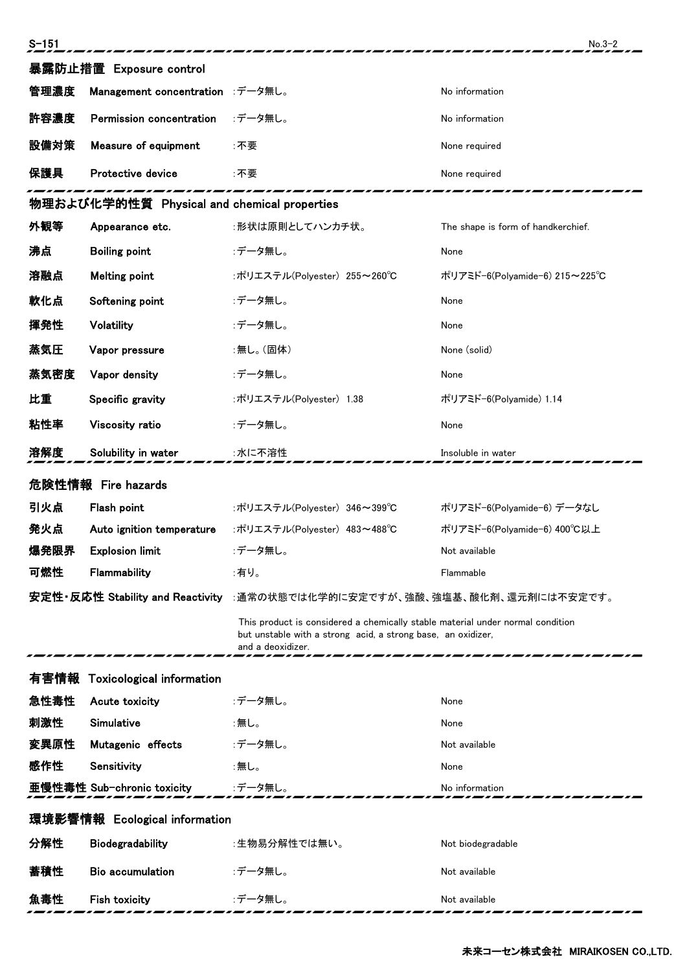| $S - 151$                     |                                             |                                                                                                                                                                     | $No.3-2$                           |  |
|-------------------------------|---------------------------------------------|---------------------------------------------------------------------------------------------------------------------------------------------------------------------|------------------------------------|--|
|                               | 暴露防止措置 Exposure control                     |                                                                                                                                                                     |                                    |  |
| 管理濃度                          | Management concentration :データ無し。            |                                                                                                                                                                     | No information                     |  |
| 許容濃度                          | Permission concentration                    | :データ無し。                                                                                                                                                             | No information                     |  |
| 設備対策                          | Measure of equipment                        | :不要                                                                                                                                                                 | None required                      |  |
| 保護具                           | Protective device                           | :不要                                                                                                                                                                 | None required                      |  |
|                               | 物理および化学的性質 Physical and chemical properties |                                                                                                                                                                     |                                    |  |
| 外観等                           | Appearance etc.                             | :形状は原則としてハンカチ状。                                                                                                                                                     | The shape is form of handkerchief. |  |
| 沸点                            | <b>Boiling point</b>                        | :データ無し。                                                                                                                                                             | None                               |  |
| 溶融点                           | <b>Melting point</b>                        | :ポリエステル(Polyester) 255~260℃                                                                                                                                         | ポリアミド-6(Polvamide-6) 215~225℃      |  |
| 軟化点                           | Softening point                             | :データ無し。                                                                                                                                                             | None                               |  |
| 揮発性                           | Volatility                                  | :データ無し。                                                                                                                                                             | None                               |  |
| 蒸気圧                           | Vapor pressure                              | :無し。(固体)                                                                                                                                                            | None (solid)                       |  |
| 蒸気密度                          | Vapor density                               | :データ無し。                                                                                                                                                             | None                               |  |
| 比重                            | Specific gravity                            | :ポリエステル(Polyester) 1.38                                                                                                                                             | ポリアミド-6(Polyamide) 1.14            |  |
| 粘性率                           | Viscosity ratio                             | :データ無し。                                                                                                                                                             | None                               |  |
| 溶解度                           | Solubility in water                         | :水に不溶性                                                                                                                                                              | Insoluble in water                 |  |
|                               | 危険性情報 Fire hazards                          |                                                                                                                                                                     |                                    |  |
| 引火点                           | Flash point                                 | :ポリエステル(Polyester) 346~399℃                                                                                                                                         | ポリアミド-6(Polyamide-6) データなし         |  |
| 発火点                           | Auto ignition temperature                   | :ポリエステル(Polyester) 483~488℃                                                                                                                                         | ポリアミド-6(Polvamide-6) 400°C以上       |  |
| 爆発限界                          | <b>Explosion limit</b>                      | :データ無し。                                                                                                                                                             | Not available                      |  |
| 可燃性                           | Flammability                                | :有り。                                                                                                                                                                | Flammable                          |  |
|                               |                                             | 安定性・反応性 Stability and Reactivity :通常の状態では化学的に安定ですが、強酸、強塩基、酸化剤、還元剤には不安定です。                                                                                           |                                    |  |
|                               |                                             | This product is considered a chemically stable material under normal condition<br>but unstable with a strong acid, a strong base, an oxidizer,<br>and a deoxidizer. |                                    |  |
| 有害情報                          | <b>Toxicological information</b>            |                                                                                                                                                                     |                                    |  |
| 急性毒性                          | Acute toxicity                              | :データ無し。                                                                                                                                                             | None                               |  |
| 刺激性                           | Simulative                                  | :無し。                                                                                                                                                                | None                               |  |
| 変異原性                          | Mutagenic effects                           | :データ無し。                                                                                                                                                             | Not available                      |  |
| 感作性                           | Sensitivity                                 | :無し。                                                                                                                                                                | None                               |  |
|                               | 亜慢性毒性 Sub-chronic toxicity                  | :データ無し。                                                                                                                                                             | No information                     |  |
| 環境影響情報 Ecological information |                                             |                                                                                                                                                                     |                                    |  |
| 分解性                           | Biodegradability                            | :生物易分解性では無い。                                                                                                                                                        | Not biodegradable                  |  |
| 蓄積性                           | <b>Bio accumulation</b>                     | :データ無し。                                                                                                                                                             | Not available                      |  |
| 丸毒性                           | Fish toxicity                               | :データ無し。                                                                                                                                                             | Not available                      |  |